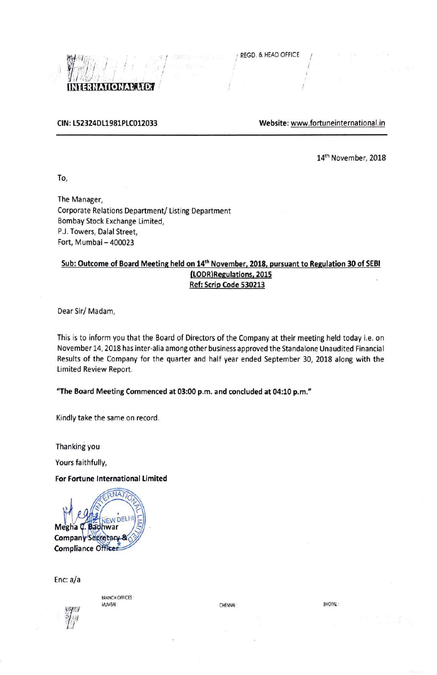I



#### **CIN: L52324DL1981PLC012033 Website:** www.fortuneinternational.in

I

14<sup>th</sup> November, 2018

To,

The Manager, Corporate Relations Department/ Listing Department Bombay Stock Exchange Limited, P.J. Towers, Dalal Street, Fort, Mumbai - 400023

# **Sub: Outcome of Board Meeting held on 14th November, 2018, pursuant to Regulation 30 of SEBI (LODR)Regulations, 2015 Ref: Scrip Code 530213**

Dear Sir/ Madam,

This is to inform you that the Board of Directors of the Company at their meeting held today i.e. on November 14, 2018 has inter-alia among other business approved the Standalone Unaudited Financial Results of the Company for the quarter and half year ended September 30, 2018 along with the Limited Review Report.

**"The Board Meeting Commenced at 03:00 p.m. and concluded at 04:10 p.m."** 

Kindly take the same on record.

Thanking you

Yours faithfully,

**For Fortune International Limited** 



Enc: a/a



**BRANCH OFFICES** MUM8AJ · CHENNAI : BHOPAi. :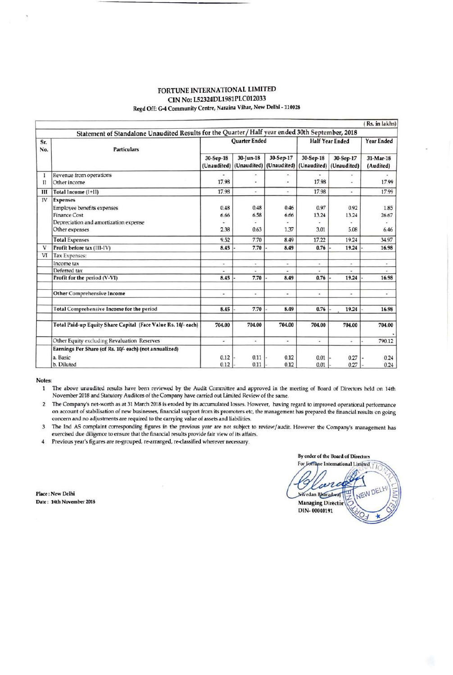#### FORTUNE INTERNATIONAL LIMITED CIN No: L52324DL1981PLC012033 Regd Off: G-4 Community Centre, Naraina Vihar, New Delhi - 110028

|                |                                                                                                                                        |                          |                               |                               |                          |                          | (Rs. in lakhs)           |
|----------------|----------------------------------------------------------------------------------------------------------------------------------------|--------------------------|-------------------------------|-------------------------------|--------------------------|--------------------------|--------------------------|
|                | Statement of Standalone Unaudited Results for the Quarter / Half year ended 30th September, 2018                                       |                          |                               |                               |                          |                          |                          |
| Sr.<br>No.     | <b>Particulars</b>                                                                                                                     | <b>Ouarter Ended</b>     |                               |                               | <b>Half Year Ended</b>   |                          | <b>Year Ended</b>        |
|                |                                                                                                                                        | 30-Sep-18<br>(Unaudited) | 30-Jun-18<br>(Unaudited)      | 30-Sep-17<br>(Unaudited)      | 30-Sep-18<br>(Unaudited) | 30-Sep-17<br>(Unaudited) | 31-Mar-18<br>(Audited)   |
| $_{\text{II}}$ | Revenue from operations<br>Other income                                                                                                | 17.98                    | ٠<br>$\overline{\phantom{a}}$ | $\overline{\phantom{a}}$<br>٠ | 17.98                    | $\bullet$<br>÷.          | 17.99                    |
| Ш              | Total Income (I+II)                                                                                                                    | 17.98                    | ÷                             | $\omega$                      | 17.98                    | $\omega$                 | 17.99                    |
| IV             | <b>Expenses</b><br><b>Employee benefits expenses</b><br><b>Finance Cost</b><br>Depreciation and amortization expense<br>Other expenses | 0.48<br>6.66<br>2.38     | 0.48<br>6.58<br>0.63          | 0.46<br>6.66<br>1.37          | 0.97<br>13.24<br>3.01    | 0.92<br>13.24<br>5.08    | 1.85<br>26.67<br>6.46    |
|                | <b>Total Expenses</b>                                                                                                                  | 9.52                     | 7.70                          | 8.49                          | 17.22                    | 19.24                    | 34.97                    |
| v              | Profit before tax (III-IV)                                                                                                             | 8.45                     | 7.70                          | 8.49                          | 0.76                     | 19.24                    | 16.98                    |
| VI             | Tax Expenses:                                                                                                                          |                          |                               |                               |                          |                          |                          |
|                | Income tax                                                                                                                             | $\sim$                   | ٠                             | ٠                             | ٠                        | $\sim$                   | $\overline{\phantom{a}}$ |
|                | Deferred tax                                                                                                                           | $\omega$                 | ۰                             | $\overline{\phantom{a}}$      | $\omega$                 |                          |                          |
|                | Profit for the period (V-VI)                                                                                                           | 8.45                     | 7.70                          | 8.49                          | 0.76                     | 19.24                    | 16.98                    |
|                | <b>Other Comprehensive Income</b>                                                                                                      | ۰                        | ۰                             | $\overline{\phantom{a}}$      | $\bullet$                | $\overline{\phantom{a}}$ | $\tilde{\phantom{a}}$    |
|                | Total Comprehensive Income for the period                                                                                              | 8.45                     | 7.70                          | 8.49                          | 0.76                     | 19.24                    | 16.98                    |
|                | Total Paid-up Equity Share Capital (Face Value Rs. 10/- each)                                                                          | 704.00                   | 704.00                        | 704.00                        | 704.00                   | 704.00                   | 704.00                   |
|                | Other Equity excluding Revaluation Reserves                                                                                            | ¥.                       | $\omega$                      | $\blacksquare$                | $\overline{\phantom{a}}$ | w.                       | 790.12                   |
|                | Earnings Per Share (of Rs. 10/- each) (not annualized)                                                                                 |                          |                               |                               |                          |                          |                          |
|                | a. Basic<br>b. Diluted                                                                                                                 | 0.12<br>0.12             | 0.11<br>0.11                  | 0.12<br>0.12                  | 0.01<br>0.01             | 0.27<br>0.27             | 0.24<br>0.24             |

**Notes:** 

1 The above unaudited results have been reviewed by the Audit Committee and approved in the meeting of Board of Directors held on 14th November 2018 and Statutory Auditors of the Company have carried out Limited Review of the same.

2 The Company's net-worth as at 31 March 2018 is eroded by its accumulated losses. However, having regard to improved operational performance on account of stabilisation of new businesses, financial support from its promoters etc, the management has prepared the financial results on going concern and no adjustments are required to the carrying value of assets and liabilities.

3 The Ind AS complaint corresponding figures in the previous year are not subject to review/audit. However the Company's management has exercised due diligence to ensure that the financial results provide fair view of its affairs.

4 Previous year's figures are re-grouped, re-arranged, re-dassified wherever necessary.

By order of the Board of Directors<br>For Jortupe International Limited

**Place** : New Delhi **Date :** 14th **November 2018** 

NEW DE Nivedan Bharadway **Managing Director** DIN-00040191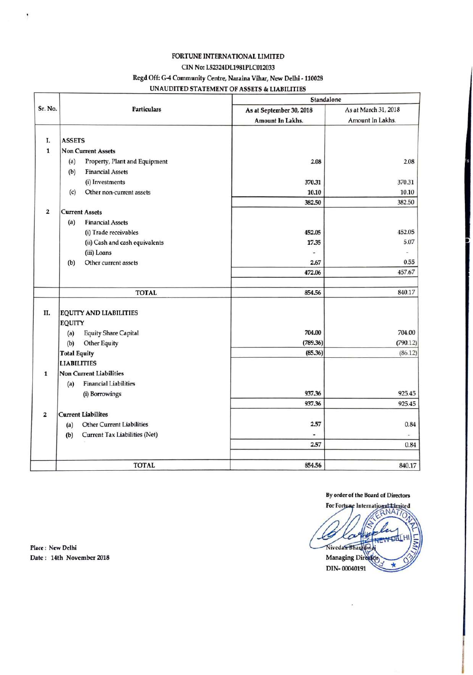# FORTUNE INTERNATIONAL LIMITED

#### CIN No: L52324DL1981PLC012033

### Regd Off: G-4 Community Centre, **Naraina Vihar,** New Delhi -110028

UNAUDITED STATEMENT OF ASSETS & LIABILITIES

|                         |                                         |                          | Standalone           |  |  |  |
|-------------------------|-----------------------------------------|--------------------------|----------------------|--|--|--|
| Sr. No.                 | <b>Particulars</b>                      | As at September 30, 2018 | As at March 31, 2018 |  |  |  |
|                         |                                         | Amount In Lakhs.         | Amount In Lakhs.     |  |  |  |
|                         |                                         |                          |                      |  |  |  |
| I.                      | <b>ASSETS</b>                           |                          |                      |  |  |  |
| $\mathbf{1}$            | <b>Non Current Assets</b>               |                          |                      |  |  |  |
|                         | Property, Plant and Equipment<br>(a)    | 2.08                     | 2.08                 |  |  |  |
|                         | <b>Financial Assets</b><br>(b)          |                          |                      |  |  |  |
|                         | (i) Investments                         | 370.31                   | 370.31               |  |  |  |
|                         | Other non-current assets<br>(c)         | 10.10                    | 10.10                |  |  |  |
|                         |                                         | 382.50                   | 382.50               |  |  |  |
| $\overline{\mathbf{2}}$ | <b>Current Assets</b>                   |                          |                      |  |  |  |
|                         | (a)<br><b>Financial Assets</b>          |                          |                      |  |  |  |
|                         | (i) Trade receivables                   | 452.05                   | 452.05               |  |  |  |
|                         | (ii) Cash and cash equivalents          | 17.35                    | 5.07                 |  |  |  |
|                         | (iii) Loans                             | $\blacksquare$           | ä,                   |  |  |  |
|                         | Other current assets<br>(b)             | 2.67                     | 0.55                 |  |  |  |
|                         |                                         | 472.06                   | 457.67               |  |  |  |
|                         |                                         |                          |                      |  |  |  |
|                         | <b>TOTAL</b>                            | 854.56                   | 840.17               |  |  |  |
| П.                      |                                         |                          |                      |  |  |  |
|                         | <b>EQUITY AND LIABILITIES</b>           |                          |                      |  |  |  |
|                         | <b>EQUITY</b>                           | 704.00                   | 704.00               |  |  |  |
|                         | <b>Equity Share Capital</b><br>(a)      | (789.36)                 | (790.12)             |  |  |  |
|                         | Other Equity<br>(b)                     |                          |                      |  |  |  |
|                         | <b>Total Equity</b>                     | (85.36)                  | (86.12)              |  |  |  |
|                         | <b>LIABILITIES</b>                      |                          |                      |  |  |  |
| $\mathbf{1}$            | Non Current Liabilities                 |                          |                      |  |  |  |
|                         | <b>Financial Liabilities</b><br>(a)     |                          |                      |  |  |  |
|                         | (i) Borrowings                          | 937.36                   | 925.45               |  |  |  |
|                         |                                         | 937.36                   | 925.45               |  |  |  |
| $\overline{\mathbf{2}}$ | <b>Current Liabilites</b>               |                          |                      |  |  |  |
|                         | <b>Other Current Liabilities</b><br>(a) | 2.57                     | 0.84                 |  |  |  |
|                         | Current Tax Liabilities (Net)<br>(b)    |                          |                      |  |  |  |
|                         |                                         | 2.57                     | 0.84                 |  |  |  |
|                         | <b>TOTAL</b>                            | 854.56                   | 840.17               |  |  |  |

By order of the Board of Directors<br>For Fortune International Limited Nivedan Diagon NEWDA Managing Director DIN-00040191

Place : New Delhi Date : 14th November 2018

 $\cdot$